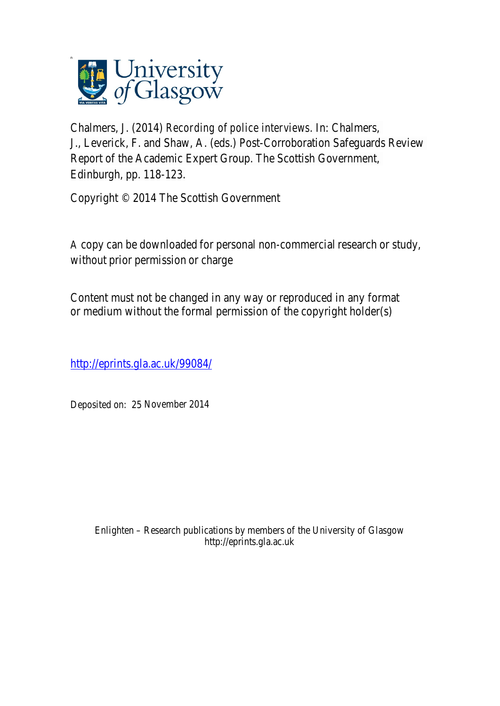

Chalmers, J. (2014) *Recording of police interviews.* In: Chalmers, J., Leverick, F. and Shaw, A. (eds.) Post-Corroboration Safeguards Review Report of the Academic Expert Group. The Scottish Government, Edinburgh, pp. 118-123.

Copyright © 2014 The Scottish Government

A copy can be downloaded for personal non-commercial research or study, without prior permission or charge

Content must not be changed in any way or reproduced in any format or medium without the formal permission of the copyright holder(s)

http://eprints.gla.ac.uk/99084/

Deposited on: 25 November 2014

Enlighten – Research publications by members of the University of Glasgow http://eprints.gla.ac.uk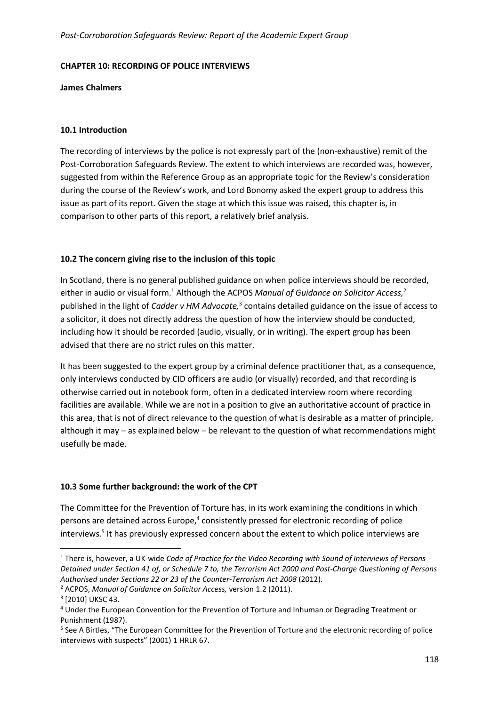#### **CHAPTER 10: RECORDING OF POLICE INTERVIEWS**

#### **James Chalmers**

## **10.1 Introduction**

The recording of interviews by the police is not expressly part of the (non-exhaustive) remit of the Post-Corroboration Safeguards Review. The extent to which interviews are recorded was, however, suggested from within the Reference Group as an appropriate topic for the Review's consideration during the course of the Review's work, and Lord Bonomy asked the expert group to address this issue as part of its report. Given the stage at which this issue was raised, this chapter is, in comparison to other parts of this report, a relatively brief analysis.

## **10.2 The concern giving rise to the inclusion of this topic**

In Scotland, there is no general published guidance on when police interviews should be recorded, either in audio or visual form.<sup>1</sup> Although the ACPOS Manual of Guidance on Solicitor Access,<sup>2</sup> published in the light of *Cadder v HM Advocate,*<sup>3</sup> contains detailed guidance on the issue of access to a solicitor, it does not directly address the question of how the interview should be conducted, including how it should be recorded (audio, visually, or in writing). The expert group has been advised that there are no strict rules on this matter.

It has been suggested to the expert group by a criminal defence practitioner that, as a consequence, only interviews conducted by CID officers are audio (or visually) recorded, and that recording is otherwise carried out in notebook form, often in a dedicated interview room where recording facilities are available. While we are not in a position to give an authoritative account of practice in this area, that is not of direct relevance to the question of what is desirable as a matter of principle, although it may – as explained below – be relevant to the question of what recommendations might usefully be made.

## **10.3 Some further background: the work of the CPT**

The Committee for the Prevention of Torture has, in its work examining the conditions in which persons are detained across Europe,<sup>4</sup> consistently pressed for electronic recording of police interviews.<sup>5</sup> It has previously expressed concern about the extent to which police interviews are

l

<sup>&</sup>lt;sup>1</sup> There is, however, a UK-wide *Code of Practice for the Video Recording with Sound of Interviews of Persons Detained under Section 41 of, or Schedule 7 to, the Terrorism Act 2000 and Post-Charge Questioning of Persons Authorised under Sections 22 or 23 of the Counter-Terrorism Act 2008* (2012).

<sup>2</sup> ACPOS, *Manual of Guidance on Solicitor Access,* version 1.2 (2011).

<sup>&</sup>lt;sup>3</sup> [2010] UKSC 43.

<sup>&</sup>lt;sup>4</sup> Under the European Convention for the Prevention of Torture and Inhuman or Degrading Treatment or Punishment (1987).

<sup>&</sup>lt;sup>5</sup> See A Birtles, "The European Committee for the Prevention of Torture and the electronic recording of police interviews with suspects" (2001) 1 HRLR 67.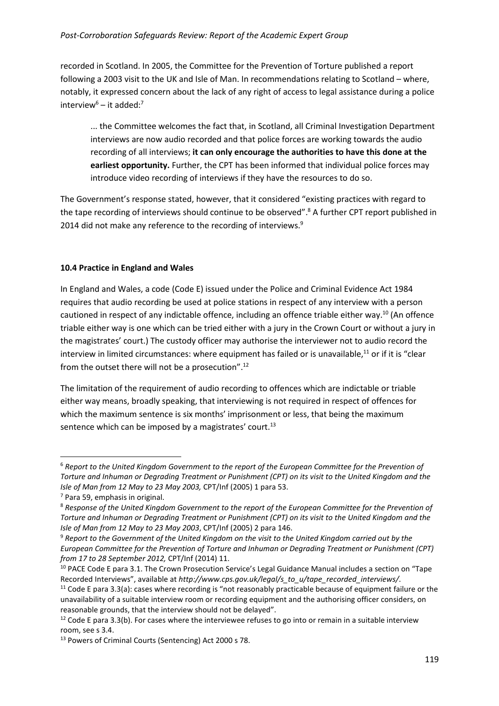## *Post-Corroboration Safeguards Review: Report of the Academic Expert Group*

recorded in Scotland. In 2005, the Committee for the Prevention of Torture published a report following a 2003 visit to the UK and Isle of Man. In recommendations relating to Scotland – where, notably, it expressed concern about the lack of any right of access to legal assistance during a police interview<sup>6</sup> – it added:<sup>7</sup>

... the Committee welcomes the fact that, in Scotland, all Criminal Investigation Department interviews are now audio recorded and that police forces are working towards the audio recording of all interviews; **it can only encourage the authorities to have this done at the earliest opportunity.** Further, the CPT has been informed that individual police forces may introduce video recording of interviews if they have the resources to do so.

The Government's response stated, however, that it considered "existing practices with regard to the tape recording of interviews should continue to be observed".<sup>8</sup> A further CPT report published in 2014 did not make any reference to the recording of interviews.<sup>9</sup>

#### **10.4 Practice in England and Wales**

In England and Wales, a code (Code E) issued under the Police and Criminal Evidence Act 1984 requires that audio recording be used at police stations in respect of any interview with a person cautioned in respect of any indictable offence, including an offence triable either way.<sup>10</sup> (An offence triable either way is one which can be tried either with a jury in the Crown Court or without a jury in the magistrates' court.) The custody officer may authorise the interviewer not to audio record the interview in limited circumstances: where equipment has failed or is unavailable, $^{11}$  or if it is "clear from the outset there will not be a prosecution".<sup>12</sup>

The limitation of the requirement of audio recording to offences which are indictable or triable either way means, broadly speaking, that interviewing is not required in respect of offences for which the maximum sentence is six months' imprisonment or less, that being the maximum sentence which can be imposed by a magistrates' court.<sup>13</sup>

l

<sup>6</sup> *Report to the United Kingdom Government to the report of the European Committee for the Prevention of Torture and Inhuman or Degrading Treatment or Punishment (CPT) on its visit to the United Kingdom and the Isle of Man from 12 May to 23 May 2003,* CPT/Inf (2005) 1 para 53.

<sup>&</sup>lt;sup>7</sup> Para 59, emphasis in original.

<sup>8</sup> *Response of the United Kingdom Government to the report of the European Committee for the Prevention of Torture and Inhuman or Degrading Treatment or Punishment (CPT) on its visit to the United Kingdom and the Isle of Man from 12 May to 23 May 2003*, CPT/Inf (2005) 2 para 146.

<sup>9</sup> *Report to the Government of the United Kingdom on the visit to the United Kingdom carried out by the European Committee for the Prevention of Torture and Inhuman or Degrading Treatment or Punishment (CPT) from 17 to 28 September 2012,* CPT/Inf (2014) 11.

<sup>10</sup> PACE Code E para 3.1. The Crown Prosecution Service's Legal Guidance Manual includes a section on "Tape Recorded Interviews", available at *http://www.cps.gov.uk/legal/s\_to\_u/tape\_recorded\_interviews/*.

 $11$  Code E para 3.3(a): cases where recording is "not reasonably practicable because of equipment failure or the unavailability of a suitable interview room or recording equipment and the authorising officer considers, on reasonable grounds, that the interview should not be delayed".

 $12$  Code E para 3.3(b). For cases where the interviewee refuses to go into or remain in a suitable interview room, see s 3.4.

<sup>13</sup> Powers of Criminal Courts (Sentencing) Act 2000 s 78.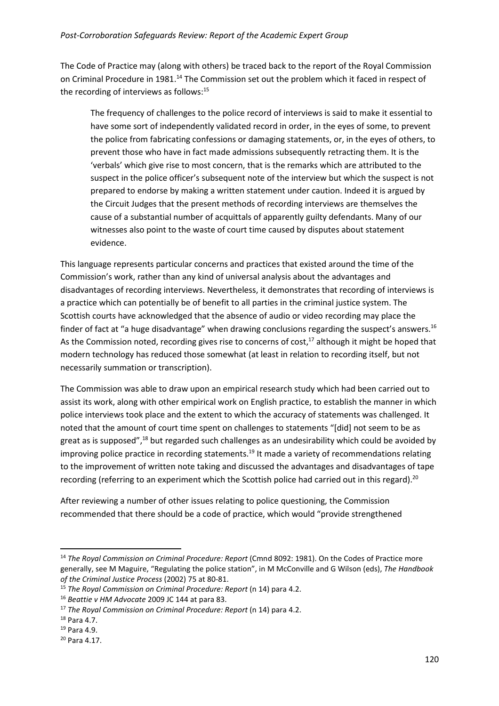The Code of Practice may (along with others) be traced back to the report of the Royal Commission on Criminal Procedure in 1981.<sup>14</sup> The Commission set out the problem which it faced in respect of the recording of interviews as follows:<sup>15</sup>

The frequency of challenges to the police record of interviews is said to make it essential to have some sort of independently validated record in order, in the eyes of some, to prevent the police from fabricating confessions or damaging statements, or, in the eyes of others, to prevent those who have in fact made admissions subsequently retracting them. It is the 'verbals' which give rise to most concern, that is the remarks which are attributed to the suspect in the police officer's subsequent note of the interview but which the suspect is not prepared to endorse by making a written statement under caution. Indeed it is argued by the Circuit Judges that the present methods of recording interviews are themselves the cause of a substantial number of acquittals of apparently guilty defendants. Many of our witnesses also point to the waste of court time caused by disputes about statement evidence.

This language represents particular concerns and practices that existed around the time of the Commission's work, rather than any kind of universal analysis about the advantages and disadvantages of recording interviews. Nevertheless, it demonstrates that recording of interviews is a practice which can potentially be of benefit to all parties in the criminal justice system. The Scottish courts have acknowledged that the absence of audio or video recording may place the finder of fact at "a huge disadvantage" when drawing conclusions regarding the suspect's answers.<sup>16</sup> As the Commission noted, recording gives rise to concerns of cost, $^{17}$  although it might be hoped that modern technology has reduced those somewhat (at least in relation to recording itself, but not necessarily summation or transcription).

The Commission was able to draw upon an empirical research study which had been carried out to assist its work, along with other empirical work on English practice, to establish the manner in which police interviews took place and the extent to which the accuracy of statements was challenged. It noted that the amount of court time spent on challenges to statements "[did] not seem to be as great as is supposed", $^{18}$  but regarded such challenges as an undesirability which could be avoided by improving police practice in recording statements.<sup>19</sup> It made a variety of recommendations relating to the improvement of written note taking and discussed the advantages and disadvantages of tape recording (referring to an experiment which the Scottish police had carried out in this regard).<sup>20</sup>

After reviewing a number of other issues relating to police questioning, the Commission recommended that there should be a code of practice, which would "provide strengthened

l

<sup>&</sup>lt;sup>14</sup> The Royal Commission on Criminal Procedure: Report (Cmnd 8092: 1981). On the Codes of Practice more generally, see M Maguire, "Regulating the police station", in M McConville and G Wilson (eds), *The Handbook of the Criminal Justice Process* (2002) 75 at 80-81.

<sup>15</sup> *The Royal Commission on Criminal Procedure: Report* (n 14) para 4.2.

<sup>16</sup> *Beattie v HM Advocate* 2009 JC 144 at para 83.

<sup>17</sup> *The Royal Commission on Criminal Procedure: Report* (n 14) para 4.2.

<sup>18</sup> Para 4.7.

<sup>19</sup> Para 4.9.

<sup>20</sup> Para 4.17.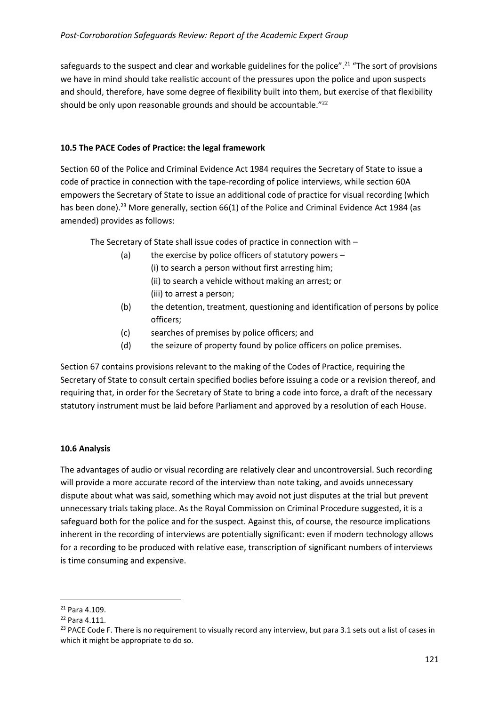safeguards to the suspect and clear and workable guidelines for the police".<sup>21</sup> "The sort of provisions we have in mind should take realistic account of the pressures upon the police and upon suspects and should, therefore, have some degree of flexibility built into them, but exercise of that flexibility should be only upon reasonable grounds and should be accountable."<sup>22</sup>

# **10.5 The PACE Codes of Practice: the legal framework**

Section 60 of the Police and Criminal Evidence Act 1984 requires the Secretary of State to issue a code of practice in connection with the tape-recording of police interviews, while section 60A empowers the Secretary of State to issue an additional code of practice for visual recording (which has been done).<sup>23</sup> More generally, section 66(1) of the Police and Criminal Evidence Act 1984 (as amended) provides as follows:

The Secretary of State shall issue codes of practice in connection with –

- (a) the exercise by police officers of statutory powers (i) to search a person without first arresting him; (ii) to search a vehicle without making an arrest; or (iii) to arrest a person;
- (b) the detention, treatment, questioning and identification of persons by police officers;
- (c) searches of premises by police officers; and
- (d) the seizure of property found by police officers on police premises.

Section 67 contains provisions relevant to the making of the Codes of Practice, requiring the Secretary of State to consult certain specified bodies before issuing a code or a revision thereof, and requiring that, in order for the Secretary of State to bring a code into force, a draft of the necessary statutory instrument must be laid before Parliament and approved by a resolution of each House.

## **10.6 Analysis**

The advantages of audio or visual recording are relatively clear and uncontroversial. Such recording will provide a more accurate record of the interview than note taking, and avoids unnecessary dispute about what was said, something which may avoid not just disputes at the trial but prevent unnecessary trials taking place. As the Royal Commission on Criminal Procedure suggested, it is a safeguard both for the police and for the suspect. Against this, of course, the resource implications inherent in the recording of interviews are potentially significant: even if modern technology allows for a recording to be produced with relative ease, transcription of significant numbers of interviews is time consuming and expensive.

 $\overline{\phantom{0}}$ 

<sup>21</sup> Para 4.109.

<sup>22</sup> Para 4.111.

 $23$  PACE Code F. There is no requirement to visually record any interview, but para 3.1 sets out a list of cases in which it might be appropriate to do so.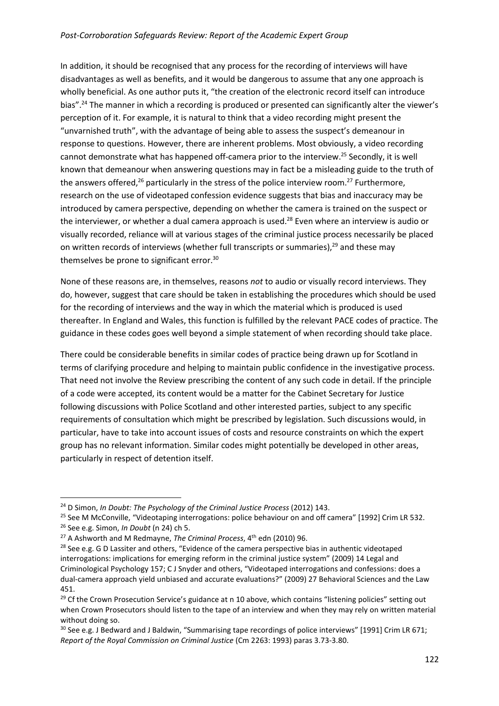In addition, it should be recognised that any process for the recording of interviews will have disadvantages as well as benefits, and it would be dangerous to assume that any one approach is wholly beneficial. As one author puts it, "the creation of the electronic record itself can introduce bias".<sup>24</sup> The manner in which a recording is produced or presented can significantly alter the viewer's perception of it. For example, it is natural to think that a video recording might present the "unvarnished truth", with the advantage of being able to assess the suspect's demeanour in response to questions. However, there are inherent problems. Most obviously, a video recording cannot demonstrate what has happened off-camera prior to the interview.<sup>25</sup> Secondly, it is well known that demeanour when answering questions may in fact be a misleading guide to the truth of the answers offered, $26$  particularly in the stress of the police interview room. $27$  Furthermore, research on the use of videotaped confession evidence suggests that bias and inaccuracy may be introduced by camera perspective, depending on whether the camera is trained on the suspect or the interviewer, or whether a dual camera approach is used.<sup>28</sup> Even where an interview is audio or visually recorded, reliance will at various stages of the criminal justice process necessarily be placed on written records of interviews (whether full transcripts or summaries),<sup>29</sup> and these may themselves be prone to significant error.<sup>30</sup>

None of these reasons are, in themselves, reasons *not* to audio or visually record interviews. They do, however, suggest that care should be taken in establishing the procedures which should be used for the recording of interviews and the way in which the material which is produced is used thereafter. In England and Wales, this function is fulfilled by the relevant PACE codes of practice. The guidance in these codes goes well beyond a simple statement of when recording should take place.

There could be considerable benefits in similar codes of practice being drawn up for Scotland in terms of clarifying procedure and helping to maintain public confidence in the investigative process. That need not involve the Review prescribing the content of any such code in detail. If the principle of a code were accepted, its content would be a matter for the Cabinet Secretary for Justice following discussions with Police Scotland and other interested parties, subject to any specific requirements of consultation which might be prescribed by legislation. Such discussions would, in particular, have to take into account issues of costs and resource constraints on which the expert group has no relevant information. Similar codes might potentially be developed in other areas, particularly in respect of detention itself.

 $\overline{a}$ 

<sup>24</sup> D Simon, *In Doubt: The Psychology of the Criminal Justice Process* (2012) 143.

<sup>&</sup>lt;sup>25</sup> See M McConville, "Videotaping interrogations: police behaviour on and off camera" [1992] Crim LR 532.

<sup>26</sup> See e.g. Simon, *In Doubt* (n 24) ch 5.

<sup>&</sup>lt;sup>27</sup> A Ashworth and M Redmayne, *The Criminal Process*, 4<sup>th</sup> edn (2010) 96.

 $28$  See e.g. G D Lassiter and others, "Evidence of the camera perspective bias in authentic videotaped interrogations: implications for emerging reform in the criminal justice system" (2009) 14 Legal and Criminological Psychology 157; C J Snyder and others, "Videotaped interrogations and confessions: does a dual-camera approach yield unbiased and accurate evaluations?" (2009) 27 Behavioral Sciences and the Law 451.

<sup>&</sup>lt;sup>29</sup> Cf the Crown Prosecution Service's guidance at n 10 above, which contains "listening policies" setting out when Crown Prosecutors should listen to the tape of an interview and when they may rely on written material without doing so.

 $30$  See e.g. J Bedward and J Baldwin, "Summarising tape recordings of police interviews" [1991] Crim LR 671; *Report of the Royal Commission on Criminal Justice* (Cm 2263: 1993) paras 3.73-3.80.